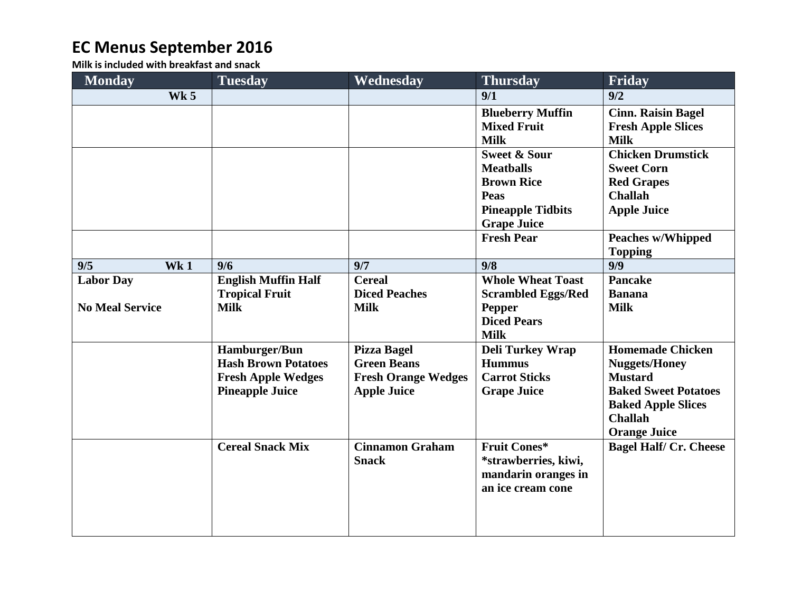## **EC Menus September 2016**

**Milk is included with breakfast and snack**

| <b>Monday</b>          |             | <b>Tuesday</b>             | Wednesday                  | <b>Thursday</b>           | Friday                        |
|------------------------|-------------|----------------------------|----------------------------|---------------------------|-------------------------------|
|                        | <b>Wk 5</b> |                            |                            | 9/1                       | 9/2                           |
|                        |             |                            |                            | <b>Blueberry Muffin</b>   | <b>Cinn. Raisin Bagel</b>     |
|                        |             |                            |                            | <b>Mixed Fruit</b>        | <b>Fresh Apple Slices</b>     |
|                        |             |                            |                            | <b>Milk</b>               | <b>Milk</b>                   |
|                        |             |                            |                            | <b>Sweet &amp; Sour</b>   | <b>Chicken Drumstick</b>      |
|                        |             |                            |                            | <b>Meatballs</b>          | <b>Sweet Corn</b>             |
|                        |             |                            |                            | <b>Brown Rice</b>         | <b>Red Grapes</b>             |
|                        |             |                            |                            | <b>Peas</b>               | <b>Challah</b>                |
|                        |             |                            |                            | <b>Pineapple Tidbits</b>  | <b>Apple Juice</b>            |
|                        |             |                            |                            | <b>Grape Juice</b>        |                               |
|                        |             |                            |                            | <b>Fresh Pear</b>         | <b>Peaches w/Whipped</b>      |
|                        |             |                            |                            |                           | <b>Topping</b>                |
| 9/5                    | Wk1         | 9/6                        | 9/7                        | 9/8                       | 9/9                           |
| <b>Labor Day</b>       |             | <b>English Muffin Half</b> | <b>Cereal</b>              | <b>Whole Wheat Toast</b>  | <b>Pancake</b>                |
|                        |             | <b>Tropical Fruit</b>      | <b>Diced Peaches</b>       | <b>Scrambled Eggs/Red</b> | <b>Banana</b>                 |
| <b>No Meal Service</b> |             | <b>Milk</b>                | <b>Milk</b>                | <b>Pepper</b>             | <b>Milk</b>                   |
|                        |             |                            |                            | <b>Diced Pears</b>        |                               |
|                        |             |                            |                            | <b>Milk</b>               |                               |
|                        |             | Hamburger/Bun              | <b>Pizza Bagel</b>         | <b>Deli Turkey Wrap</b>   | <b>Homemade Chicken</b>       |
|                        |             | <b>Hash Brown Potatoes</b> | <b>Green Beans</b>         | <b>Hummus</b>             | <b>Nuggets/Honey</b>          |
|                        |             | <b>Fresh Apple Wedges</b>  | <b>Fresh Orange Wedges</b> | <b>Carrot Sticks</b>      | <b>Mustard</b>                |
|                        |             | <b>Pineapple Juice</b>     | <b>Apple Juice</b>         | <b>Grape Juice</b>        | <b>Baked Sweet Potatoes</b>   |
|                        |             |                            |                            |                           | <b>Baked Apple Slices</b>     |
|                        |             |                            |                            |                           | <b>Challah</b>                |
|                        |             |                            |                            |                           | <b>Orange Juice</b>           |
|                        |             | <b>Cereal Snack Mix</b>    | <b>Cinnamon Graham</b>     | <b>Fruit Cones*</b>       | <b>Bagel Half/ Cr. Cheese</b> |
|                        |             |                            | <b>Snack</b>               | *strawberries, kiwi,      |                               |
|                        |             |                            |                            | mandarin oranges in       |                               |
|                        |             |                            |                            | an ice cream cone         |                               |
|                        |             |                            |                            |                           |                               |
|                        |             |                            |                            |                           |                               |
|                        |             |                            |                            |                           |                               |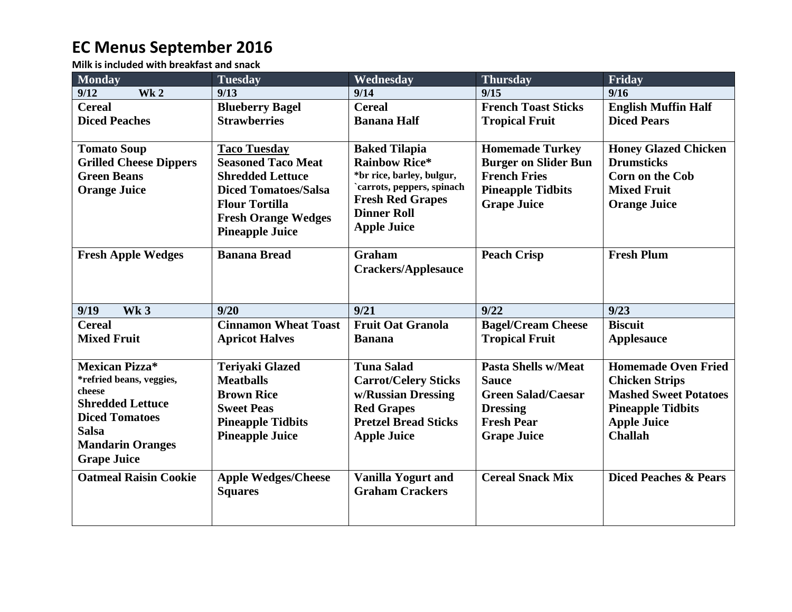## **EC Menus September 2016**

**Milk is included with breakfast and snack**

| <b>Monday</b>                 | <b>Tuesday</b>              | Wednesday                                               | <b>Thursday</b>             | Friday                           |
|-------------------------------|-----------------------------|---------------------------------------------------------|-----------------------------|----------------------------------|
| Wk <sub>2</sub><br>9/12       | 9/13                        | 9/14                                                    | 9/15                        | 9/16                             |
| <b>Cereal</b>                 | <b>Blueberry Bagel</b>      | <b>Cereal</b>                                           | <b>French Toast Sticks</b>  | <b>English Muffin Half</b>       |
| <b>Diced Peaches</b>          | <b>Strawberries</b>         | <b>Banana Half</b>                                      | <b>Tropical Fruit</b>       | <b>Diced Pears</b>               |
|                               |                             |                                                         |                             |                                  |
| <b>Tomato Soup</b>            | <b>Taco Tuesday</b>         | <b>Baked Tilapia</b>                                    | <b>Homemade Turkey</b>      | <b>Honey Glazed Chicken</b>      |
| <b>Grilled Cheese Dippers</b> | <b>Seasoned Taco Meat</b>   | <b>Rainbow Rice*</b>                                    | <b>Burger on Slider Bun</b> | <b>Drumsticks</b>                |
| <b>Green Beans</b>            | <b>Shredded Lettuce</b>     | *br rice, barley, bulgur,<br>`carrots, peppers, spinach | <b>French Fries</b>         | <b>Corn on the Cob</b>           |
| <b>Orange Juice</b>           | <b>Diced Tomatoes/Salsa</b> | <b>Fresh Red Grapes</b>                                 | <b>Pineapple Tidbits</b>    | <b>Mixed Fruit</b>               |
|                               | <b>Flour Tortilla</b>       | <b>Dinner Roll</b>                                      | <b>Grape Juice</b>          | <b>Orange Juice</b>              |
|                               | <b>Fresh Orange Wedges</b>  | <b>Apple Juice</b>                                      |                             |                                  |
|                               | <b>Pineapple Juice</b>      |                                                         |                             |                                  |
| <b>Fresh Apple Wedges</b>     | <b>Banana Bread</b>         | Graham                                                  | <b>Peach Crisp</b>          | <b>Fresh Plum</b>                |
|                               |                             | <b>Crackers/Applesauce</b>                              |                             |                                  |
|                               |                             |                                                         |                             |                                  |
|                               |                             |                                                         |                             |                                  |
| Wk <sub>3</sub><br>9/19       | 9/20                        | 9/21                                                    | 9/22                        | 9/23                             |
| <b>Cereal</b>                 | <b>Cinnamon Wheat Toast</b> | <b>Fruit Oat Granola</b>                                | <b>Bagel/Cream Cheese</b>   | <b>Biscuit</b>                   |
| <b>Mixed Fruit</b>            | <b>Apricot Halves</b>       | <b>Banana</b>                                           | <b>Tropical Fruit</b>       | <b>Applesauce</b>                |
|                               |                             |                                                         |                             |                                  |
| <b>Mexican Pizza*</b>         | <b>Teriyaki Glazed</b>      | <b>Tuna Salad</b>                                       | <b>Pasta Shells w/Meat</b>  | <b>Homemade Oven Fried</b>       |
| *refried beans, veggies,      | <b>Meatballs</b>            | <b>Carrot/Celery Sticks</b>                             | <b>Sauce</b>                | <b>Chicken Strips</b>            |
| cheese                        | <b>Brown Rice</b>           | w/Russian Dressing                                      | <b>Green Salad/Caesar</b>   | <b>Mashed Sweet Potatoes</b>     |
| <b>Shredded Lettuce</b>       | <b>Sweet Peas</b>           | <b>Red Grapes</b>                                       | <b>Dressing</b>             | <b>Pineapple Tidbits</b>         |
| <b>Diced Tomatoes</b>         | <b>Pineapple Tidbits</b>    | <b>Pretzel Bread Sticks</b>                             | <b>Fresh Pear</b>           | <b>Apple Juice</b>               |
| <b>Salsa</b>                  | <b>Pineapple Juice</b>      | <b>Apple Juice</b>                                      | <b>Grape Juice</b>          | <b>Challah</b>                   |
| <b>Mandarin Oranges</b>       |                             |                                                         |                             |                                  |
| <b>Grape Juice</b>            |                             |                                                         |                             |                                  |
| <b>Oatmeal Raisin Cookie</b>  | <b>Apple Wedges/Cheese</b>  | <b>Vanilla Yogurt and</b>                               | <b>Cereal Snack Mix</b>     | <b>Diced Peaches &amp; Pears</b> |
|                               | <b>Squares</b>              | <b>Graham Crackers</b>                                  |                             |                                  |
|                               |                             |                                                         |                             |                                  |
|                               |                             |                                                         |                             |                                  |